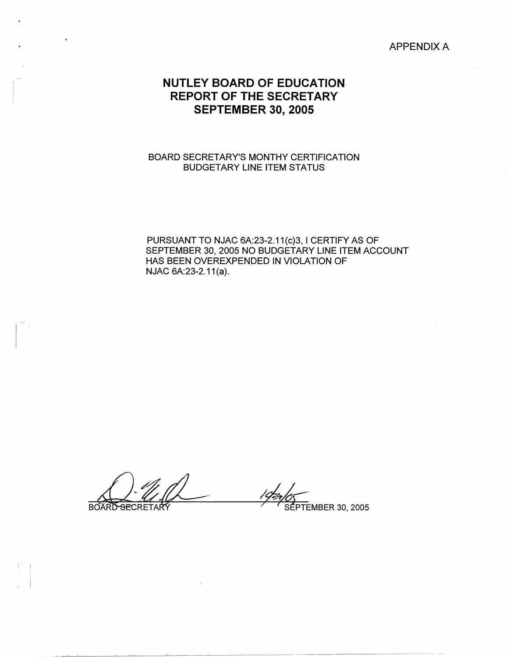### APPENDIX A

# **NUTLEY BOARD OF EDUCATION REPORT OF THE SECRETARY SEPTEMBER 30, 2005**

### BOARD SECRETARY'S MONTHY CERTIFICATION BUDGETARY LINE ITEM STATUS

PURSUANT TO NJAC 6A:23-2.11(c)3, I CERTIFY AS OF SEPTEMBER 30, 2005 NO BUDGETARY LINE ITEM ACCOUNT HAS BEEN OVEREXPENDED IN VIOLATION OF NJAC 6A:23-2.11(a).

BOARD SECRETARY **6** SEPTEMBER 30, 2005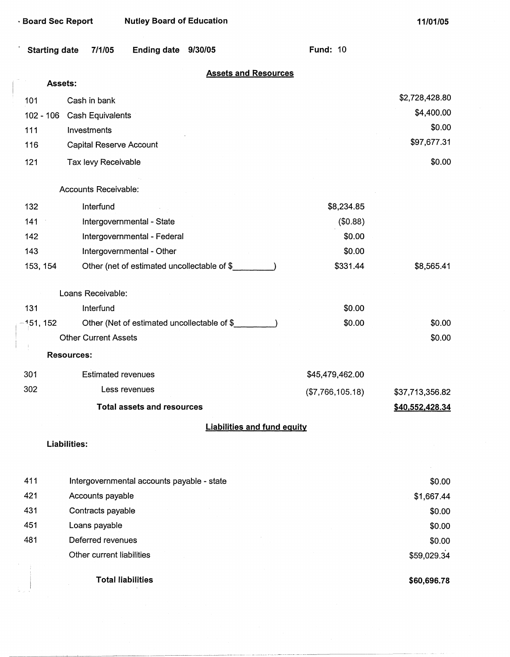| · Board Sec Report   |                             | <b>Nutley Board of Education</b>           |                                             |                                    | 11/01/05        |
|----------------------|-----------------------------|--------------------------------------------|---------------------------------------------|------------------------------------|-----------------|
| <b>Starting date</b> | 7/1/05                      | Ending date 9/30/05                        |                                             | <b>Fund: 10</b>                    |                 |
|                      | Assets:                     |                                            | <b>Assets and Resources</b>                 |                                    |                 |
|                      |                             |                                            |                                             |                                    | \$2,728,428.80  |
| 101                  | Cash in bank                |                                            |                                             |                                    | \$4,400.00      |
|                      | 102 - 106 Cash Equivalents  |                                            |                                             |                                    | \$0.00          |
| 111                  | Investments                 |                                            |                                             |                                    | \$97,677.31     |
| 116                  | Capital Reserve Account     |                                            |                                             |                                    |                 |
| 121                  | Tax levy Receivable         |                                            |                                             |                                    | \$0.00          |
|                      | Accounts Receivable:        |                                            |                                             |                                    |                 |
| 132                  | Interfund                   |                                            |                                             | \$8,234.85                         |                 |
| 141                  |                             | Intergovernmental - State                  |                                             | (\$0.88)                           |                 |
| 142                  |                             | Intergovernmental - Federal                |                                             | \$0.00                             |                 |
| 143                  |                             | Intergovernmental - Other                  |                                             | \$0.00                             |                 |
| 153, 154             |                             |                                            | Other (net of estimated uncollectable of \$ | \$331.44                           | \$8,565.41      |
|                      | Loans Receivable:           |                                            |                                             |                                    |                 |
| 131                  | Interfund                   |                                            |                                             | \$0.00                             |                 |
| $-151, 152$          |                             |                                            | Other (Net of estimated uncollectable of \$ | \$0.00                             | \$0.00          |
|                      | <b>Other Current Assets</b> |                                            |                                             |                                    | \$0.00          |
|                      | <b>Resources:</b>           |                                            |                                             |                                    |                 |
| 301                  | <b>Estimated revenues</b>   |                                            |                                             | \$45,479,462.00                    |                 |
| 302                  |                             | Less revenues                              |                                             | (\$7,766,105.18)                   | \$37,713,356.82 |
|                      |                             | <b>Total assets and resources</b>          |                                             |                                    | \$40,552,428.34 |
|                      |                             |                                            |                                             | <b>Liabilities and fund equity</b> |                 |
|                      | <b>Liabilities:</b>         |                                            |                                             |                                    |                 |
|                      |                             |                                            |                                             |                                    |                 |
| 411                  |                             | Intergovernmental accounts payable - state |                                             |                                    | \$0.00          |
| 421<br>431           | Accounts payable            |                                            |                                             |                                    | \$1,667.44      |
| 451                  | Contracts payable           |                                            |                                             |                                    | \$0.00          |
|                      | Loans payable               |                                            |                                             |                                    | \$0.00          |

481 Deferred revenues Other current liabilities

 $\bar{z}$ 

t.

**Total liabilities** 

 $\sim$ 

**\$60,696.78** 

\$59,029.34

\$0.00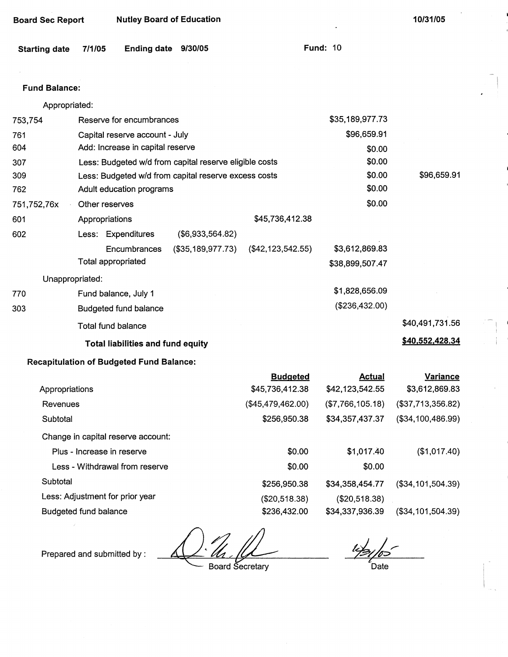| <b>Board Sec Report</b> |                                          | <b>Nutley Board of Education</b>                |                                                        |                                    |                                   | 10/31/05                          |  |
|-------------------------|------------------------------------------|-------------------------------------------------|--------------------------------------------------------|------------------------------------|-----------------------------------|-----------------------------------|--|
| <b>Starting date</b>    | 7/1/05                                   | Ending date 9/30/05                             |                                                        |                                    | <b>Fund: 10</b>                   |                                   |  |
|                         |                                          |                                                 |                                                        |                                    |                                   |                                   |  |
| <b>Fund Balance:</b>    |                                          |                                                 |                                                        |                                    |                                   |                                   |  |
| Appropriated:           |                                          |                                                 |                                                        |                                    |                                   |                                   |  |
| 753,754                 |                                          | Reserve for encumbrances                        |                                                        |                                    | \$35,189,977.73                   |                                   |  |
| 761                     |                                          | Capital reserve account - July                  |                                                        |                                    | \$96,659.91                       |                                   |  |
| 604                     |                                          | Add: Increase in capital reserve                |                                                        |                                    | \$0.00                            |                                   |  |
| 307                     |                                          |                                                 | Less: Budgeted w/d from capital reserve eligible costs |                                    | \$0.00                            |                                   |  |
| 309                     |                                          |                                                 | Less: Budgeted w/d from capital reserve excess costs   |                                    | \$0.00                            | \$96,659.91                       |  |
| 762                     |                                          | Adult education programs                        |                                                        |                                    | \$0.00                            |                                   |  |
| 751,752,76x             | Other reserves                           |                                                 |                                                        |                                    | \$0.00                            |                                   |  |
| 601                     | Appropriations                           |                                                 |                                                        | \$45,736,412.38                    |                                   |                                   |  |
| 602                     |                                          | Less: Expenditures                              | (\$6,933,564.82)                                       |                                    |                                   |                                   |  |
|                         |                                          | Encumbrances<br><b>Total appropriated</b>       | (\$35,189,977.73)                                      | $(\$42, 123, 542.55)$              | \$3,612,869.83<br>\$38,899,507.47 |                                   |  |
| Unappropriated:         |                                          |                                                 |                                                        |                                    |                                   |                                   |  |
| 770                     |                                          | Fund balance, July 1                            |                                                        |                                    | \$1,828,656.09                    |                                   |  |
| 303                     |                                          | Budgeted fund balance                           |                                                        |                                    | (\$236,432.00)                    |                                   |  |
|                         |                                          | Total fund balance                              |                                                        |                                    |                                   | \$40,491,731.56                   |  |
|                         | <b>Total liabilities and fund equity</b> |                                                 |                                                        |                                    |                                   | \$40,552,428.34                   |  |
|                         |                                          | <b>Recapitulation of Budgeted Fund Balance:</b> |                                                        |                                    |                                   |                                   |  |
| Appropriations          |                                          |                                                 |                                                        | <b>Budgeted</b><br>\$45,736,412.38 | <b>Actual</b><br>\$42,123,542.55  | <b>Variance</b><br>\$3,612,869.83 |  |
| Revenues                |                                          |                                                 |                                                        | (\$45,479,462.00)                  | (\$7,766,105.18)                  | (\$37,713,356.82)                 |  |
| Subtotal                |                                          |                                                 |                                                        | \$256,950.38                       | \$34,357,437.37                   | (\$34,100,486.99)                 |  |
|                         |                                          | Change in capital reserve account:              |                                                        |                                    |                                   |                                   |  |
|                         |                                          | Plus - Increase in reserve                      |                                                        | \$0.00                             | \$1,017.40                        | (\$1,017.40)                      |  |
|                         |                                          | Less - Withdrawal from reserve                  |                                                        | \$0.00                             | \$0.00                            |                                   |  |
| Subtotal                |                                          |                                                 |                                                        | \$256,950.38                       | \$34,358,454.77                   | $(\$34, 101, 504.39)$             |  |

Less: Adjustment for prior year Budgeted fund balance

Prepared and submitted by : 4.g. 4.g.

(\$20,518.38) \$236,432.00

 $42/65$  $\epsilon$ Date

(\$34,101,504.39)

{\$20,518.38) \$34,337,936.39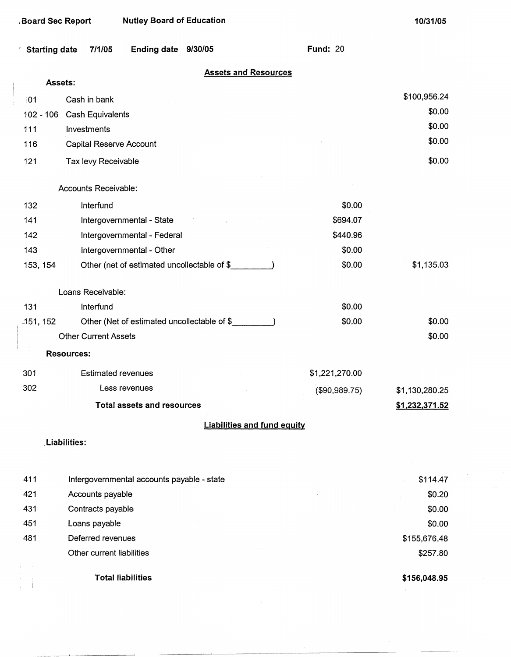| Starting date 7/1/05 | Ending date 9/30/05 | <b>Fund: 20</b> |  |
|----------------------|---------------------|-----------------|--|
|                      |                     |                 |  |

### **Assets and Resources**

| Assets:     |                                             |                |                |  |  |
|-------------|---------------------------------------------|----------------|----------------|--|--|
| 01          | Cash in bank                                |                | \$100,956.24   |  |  |
| $102 - 106$ | <b>Cash Equivalents</b>                     |                |                |  |  |
| 111         | Investments                                 |                | \$0.00         |  |  |
| 116         | Capital Reserve Account                     |                | \$0.00         |  |  |
| 121         | Tax levy Receivable                         |                | \$0.00         |  |  |
|             | Accounts Receivable:                        |                |                |  |  |
| 132         | Interfund                                   | \$0.00         |                |  |  |
| 141         | Intergovernmental - State                   | \$694.07       |                |  |  |
| 142         | Intergovernmental - Federal                 | \$440.96       |                |  |  |
| 143         | Intergovernmental - Other                   | \$0.00         |                |  |  |
| 153, 154    | Other (net of estimated uncollectable of \$ | \$0.00         | \$1,135.03     |  |  |
|             | Loans Receivable:                           |                |                |  |  |
| 131         | Interfund                                   | \$0.00         |                |  |  |
| .151, 152   | Other (Net of estimated uncollectable of \$ | \$0.00         | \$0.00         |  |  |
|             | <b>Other Current Assets</b>                 |                | \$0.00         |  |  |
|             | <b>Resources:</b>                           |                |                |  |  |
| 301         | <b>Estimated revenues</b>                   | \$1,221,270.00 |                |  |  |
| 302         | Less revenues                               | (\$90,989.75)  | \$1,130,280.25 |  |  |
|             | <b>Total assets and resources</b>           |                | \$1,232,371.52 |  |  |
|             | <b>Liabilities and fund equity</b>          |                |                |  |  |
|             | <b>Liabilities:</b>                         |                |                |  |  |
| 411         | Intergovernmental accounts payable - state  |                | \$114.47       |  |  |
| 421         | Accounts payable                            |                | \$0.20         |  |  |
| 431         | Contracts payable                           |                | \$0.00         |  |  |

\$0.00 \$0.00 \$155,676.48 \$257.80

**Total liabilities** 

Loans payable Deferred revenues

Other current liabilities

431 451 481

**\$156,048.95**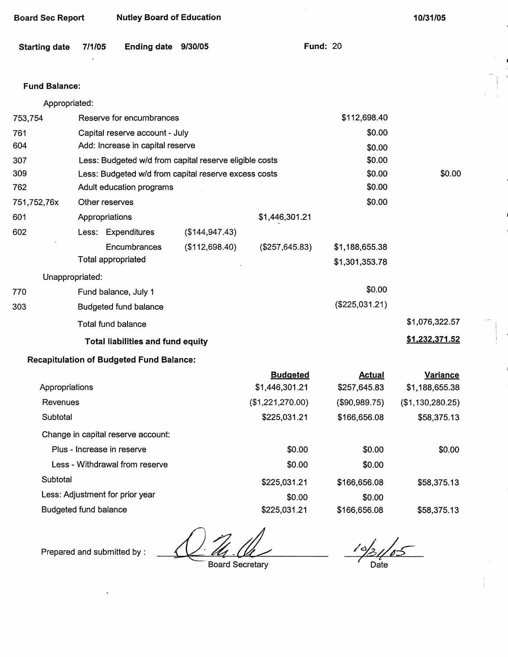| <b>Board Sec Report</b> |                            | <b>Nutley Board of Education</b>                |                                                        |                  |                 | 10/31/05         |
|-------------------------|----------------------------|-------------------------------------------------|--------------------------------------------------------|------------------|-----------------|------------------|
| <b>Starting date</b>    | 7/1/05                     | Ending date 9/30/05                             |                                                        |                  | <b>Fund: 20</b> |                  |
| <b>Fund Balance:</b>    |                            |                                                 |                                                        |                  |                 |                  |
| Appropriated:           |                            |                                                 |                                                        |                  |                 |                  |
| 753,754                 |                            | Reserve for encumbrances                        |                                                        |                  | \$112,698.40    |                  |
| 761                     |                            | Capital reserve account - July                  |                                                        |                  | \$0.00          |                  |
| 604                     |                            | Add: Increase in capital reserve                |                                                        |                  | \$0.00          |                  |
| 307                     |                            |                                                 | Less: Budgeted w/d from capital reserve eligible costs |                  | \$0.00          |                  |
| 309                     |                            |                                                 | Less: Budgeted w/d from capital reserve excess costs   |                  | \$0.00          | \$0.00           |
| 762                     |                            | Adult education programs                        |                                                        |                  | \$0.00          |                  |
| 751,752,76x             | Other reserves             |                                                 |                                                        |                  | \$0.00          |                  |
| 601                     | Appropriations             |                                                 |                                                        | \$1,446,301.21   |                 |                  |
| 602                     |                            | Less: Expenditures                              | (\$144, 947.43)                                        |                  |                 |                  |
|                         |                            | Encumbrances                                    | (\$112,698.40)                                         | (\$257,645.83)   | \$1,188,655.38  |                  |
|                         | Total appropriated         |                                                 |                                                        |                  | \$1,301,353.78  |                  |
| Unappropriated:         |                            |                                                 |                                                        |                  |                 |                  |
| 770                     |                            | Fund balance, July 1                            |                                                        |                  | \$0.00          |                  |
| 303                     |                            | <b>Budgeted fund balance</b>                    |                                                        |                  | (\$225,031.21)  |                  |
|                         | <b>Total fund balance</b>  |                                                 |                                                        |                  |                 | \$1,076,322.57   |
|                         |                            | <b>Total liabilities and fund equity</b>        |                                                        |                  |                 | \$1,232,371.52   |
|                         |                            | <b>Recapitulation of Budgeted Fund Balance:</b> |                                                        |                  |                 |                  |
|                         |                            |                                                 |                                                        | <b>Budgeted</b>  | <b>Actual</b>   | <b>Variance</b>  |
| Appropriations          |                            |                                                 |                                                        | \$1,446,301.21   | \$257,645.83    | \$1,188,655.38   |
| Revenues                |                            |                                                 |                                                        | (\$1,221,270.00) | (\$90,989.75)   | (\$1,130,280.25) |
| Subtotal                |                            |                                                 |                                                        | \$225,031.21     | \$166,656.08    | \$58,375.13      |
|                         |                            | Change in capital reserve account:              |                                                        |                  |                 |                  |
|                         | Plus - Increase in reserve |                                                 |                                                        | \$0.00           | \$0.00          | \$0.00           |
|                         |                            | Less - Withdrawal from reserve                  |                                                        | \$0.00           | \$0.00          |                  |
| Subtotal                |                            |                                                 |                                                        | \$225,031.21     | \$166,656.08    | \$58,375.13      |
|                         |                            | Less: Adjustment for prior year                 |                                                        | \$0.00           | \$0.00          |                  |

Budgeted fund balance \$225,031.21

Prepared and submitted by :

Board Secretary

 $\frac{1}{2}$ Date

\$58,375.13

 $\mathbf{I}$ 

\$166,656.08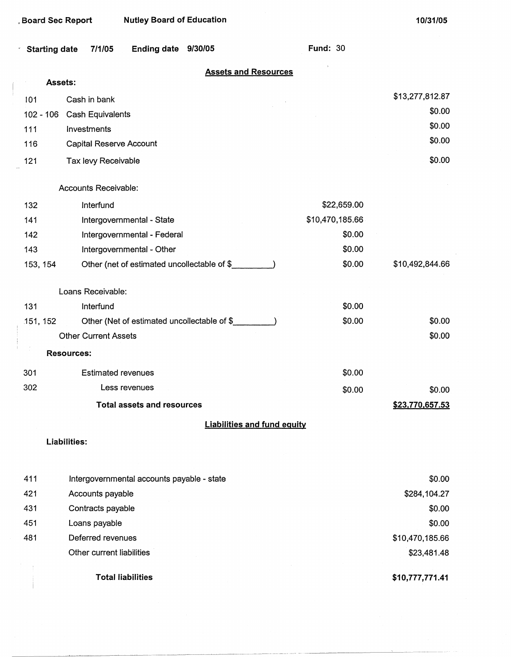\$0.00

**\$23,770,657.53** 

| Starting date 7/1/05 Ending date 9/30/05 |  |  |  | <b>Fund: 30</b> |
|------------------------------------------|--|--|--|-----------------|
|------------------------------------------|--|--|--|-----------------|

# **Assets and Resources**

|     | Assets:                    |                 |  |  |
|-----|----------------------------|-----------------|--|--|
| 101 | Cash in bank               | \$13,277,812.87 |  |  |
|     | 102 - 106 Cash Equivalents | \$0.00          |  |  |
| 111 | Investments                | \$0.00          |  |  |
| 116 | Capital Reserve Account    | \$0.00          |  |  |
| 121 | Tax levy Receivable        | \$0.00          |  |  |

#### Accounts Receivable:

| 132               | Interfund                                   | \$22,659.00     |                 |
|-------------------|---------------------------------------------|-----------------|-----------------|
| 141               | Intergovernmental - State                   | \$10,470,185.66 |                 |
| 142               | Intergovernmental - Federal                 | \$0.00          |                 |
| 143               | Intergovernmental - Other                   | \$0.00          |                 |
| 153, 154          | Other (net of estimated uncollectable of \$ | \$0.00          | \$10,492,844.66 |
|                   | Loans Receivable:                           |                 |                 |
| 131               | Interfund                                   | \$0.00          |                 |
| 151, 152          | Other (Net of estimated uncollectable of \$ | \$0.00          | \$0.00          |
|                   | <b>Other Current Assets</b>                 |                 | \$0.00          |
| <b>Resources:</b> |                                             |                 |                 |
| 301               | <b>Estimated revenues</b>                   | \$0.00          |                 |

# Less revenues

**Total assets and resources** 

### **Liabilities and fund equity**

\$0.00

### **Liabilities:**

302

|     | <b>Total liabilities</b>                   | \$10,777,771.41 |
|-----|--------------------------------------------|-----------------|
|     | Other current liabilities                  | \$23,481.48     |
| 481 | Deferred revenues                          | \$10,470,185.66 |
| 451 | Loans payable                              | \$0.00          |
| 431 | Contracts payable                          | \$0.00          |
| 421 | Accounts payable                           | \$284,104.27    |
| 411 | Intergovernmental accounts payable - state | \$0.00          |
|     |                                            |                 |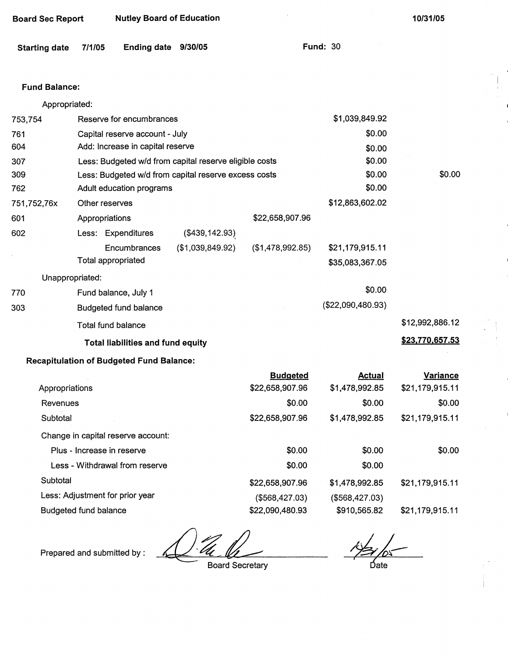| <b>Board Sec Report</b> |                | <b>Nutley Board of Education</b>                |                                                        |                                    |                                 | 10/31/05                           |
|-------------------------|----------------|-------------------------------------------------|--------------------------------------------------------|------------------------------------|---------------------------------|------------------------------------|
| <b>Starting date</b>    | 7/1/05         | Ending date 9/30/05                             |                                                        |                                    | <b>Fund: 30</b>                 |                                    |
| <b>Fund Balance:</b>    |                |                                                 |                                                        |                                    |                                 |                                    |
| Appropriated:           |                |                                                 |                                                        |                                    |                                 |                                    |
| 753,754                 |                | Reserve for encumbrances                        |                                                        |                                    | \$1,039,849.92                  |                                    |
| 761                     |                | Capital reserve account - July                  |                                                        |                                    | \$0.00                          |                                    |
| 604                     |                | Add: Increase in capital reserve                |                                                        |                                    | \$0.00                          |                                    |
| 307                     |                |                                                 | Less: Budgeted w/d from capital reserve eligible costs |                                    | \$0.00                          |                                    |
| 309                     |                |                                                 | Less: Budgeted w/d from capital reserve excess costs   |                                    | \$0.00                          | \$0.00                             |
| 762                     |                | Adult education programs                        |                                                        |                                    | \$0.00                          |                                    |
| 751,752,76x             | Other reserves |                                                 |                                                        |                                    | \$12,863,602.02                 |                                    |
| 601                     | Appropriations |                                                 |                                                        | \$22,658,907.96                    |                                 |                                    |
| 602                     |                | Less: Expenditures                              | (\$439, 142.93)                                        |                                    |                                 |                                    |
|                         |                | Encumbrances                                    | (\$1,039,849.92)                                       | (\$1,478,992.85)                   | \$21,179,915.11                 |                                    |
|                         |                | <b>Total appropriated</b>                       |                                                        |                                    | \$35,083,367.05                 |                                    |
| Unappropriated:         |                |                                                 |                                                        |                                    |                                 |                                    |
| 770                     |                | Fund balance, July 1                            |                                                        |                                    | \$0.00                          |                                    |
| 303                     |                | <b>Budgeted fund balance</b>                    |                                                        |                                    | (\$22,090,480.93)               |                                    |
|                         |                | <b>Total fund balance</b>                       |                                                        |                                    |                                 | \$12,992,886.12                    |
|                         |                | <b>Total liabilities and fund equity</b>        |                                                        |                                    |                                 | \$23,770,657.53                    |
|                         |                | <b>Recapitulation of Budgeted Fund Balance:</b> |                                                        |                                    |                                 |                                    |
| Appropriations          |                |                                                 |                                                        | <b>Budgeted</b><br>\$22,658,907.96 | <b>Actual</b><br>\$1,478,992.85 | <b>Variance</b><br>\$21,179,915.11 |
| Revenues                |                |                                                 |                                                        | \$0.00                             | \$0.00                          | \$0.00                             |
| Subtotal                |                |                                                 |                                                        | \$22,658,907.96                    | \$1,478,992.85                  | \$21,179,915.11                    |
|                         |                | Change in capital reserve account:              |                                                        |                                    |                                 |                                    |
|                         |                | Plus - Increase in reserve                      |                                                        | \$0.00                             | \$0.00                          | \$0.00                             |
|                         |                | Less - Withdrawal from reserve                  |                                                        | \$0.00                             | \$0.00                          |                                    |
| Subtotal                |                |                                                 |                                                        | \$22,658,907.96                    | \$1,478,992.85                  | \$21,179,915.11                    |

Less: Adjustment for prior year (\$568,427.03) (\$568,427.03) Budgeted fund balance **\$22,090,480.93** \$910,565.82 \$21,179,915.11

Prepared and submitted by :

 $\frac{1}{24}$  because the secretary  $\frac{1}{24}$  because  $\frac{1}{24}$  because  $\frac{1}{24}$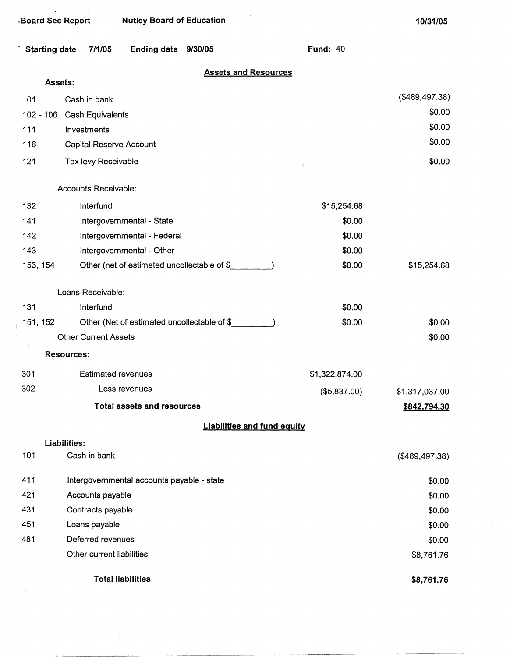|                      | <b>Board Sec Report</b>     | <b>Nutley Board of Education</b>             |                                    | 10/31/05       |
|----------------------|-----------------------------|----------------------------------------------|------------------------------------|----------------|
| <b>Starting date</b> | 7/1/05                      | <b>Ending date</b><br>9/30/05                | <b>Fund: 40</b>                    |                |
|                      | Assets:                     |                                              | <b>Assets and Resources</b>        |                |
| 01                   | Cash in bank                |                                              |                                    | (\$489,497.38) |
| $102 - 106$          | Cash Equivalents            |                                              |                                    | \$0.00         |
| 111                  | Investments                 |                                              |                                    | \$0.00         |
| 116                  | Capital Reserve Account     |                                              |                                    | \$0.00         |
| 121                  | Tax levy Receivable         |                                              |                                    | \$0.00         |
|                      |                             |                                              |                                    |                |
|                      | Accounts Receivable:        |                                              |                                    |                |
| 132                  | Interfund                   |                                              | \$15,254.68                        |                |
| 141                  |                             | Intergovernmental - State                    | \$0.00                             |                |
| 142                  |                             | Intergovernmental - Federal                  | \$0.00                             |                |
| 143                  |                             | Intergovernmental - Other                    | \$0.00                             |                |
| 153, 154             |                             | Other (net of estimated uncollectable of \$_ | \$0.00                             | \$15,254.68    |
|                      | Loans Receivable:           |                                              |                                    |                |
| 131                  | Interfund                   |                                              | \$0.00                             |                |
| 151, 152             |                             | Other (Net of estimated uncollectable of \$  | \$0.00                             | \$0.00         |
|                      | <b>Other Current Assets</b> |                                              |                                    | \$0.00         |
|                      | <b>Resources:</b>           |                                              |                                    |                |
|                      |                             |                                              |                                    |                |
| 301<br>302           | <b>Estimated revenues</b>   |                                              | \$1,322,874.00                     |                |
|                      |                             | Less revenues                                | (\$5,837.00)                       | \$1,317,037.00 |
|                      |                             | <b>Total assets and resources</b>            |                                    | \$842,794.30   |
|                      |                             |                                              | <b>Liabilities and fund equity</b> |                |
|                      | Liabilities:                |                                              |                                    |                |
| 101                  | Cash in bank                |                                              |                                    | (\$489,497.38) |
| 411                  |                             | Intergovernmental accounts payable - state   |                                    | \$0.00         |
| 421                  | Accounts payable            |                                              |                                    | \$0.00         |

\$0.00 \$0.00 \$8,761.76 **\$8,761.76** 

\$0.00 \$0.00 \$0.00

**Total liabilities** 

Contracts payable Loans payable Deferred revenues Other current liabilities

431 451 481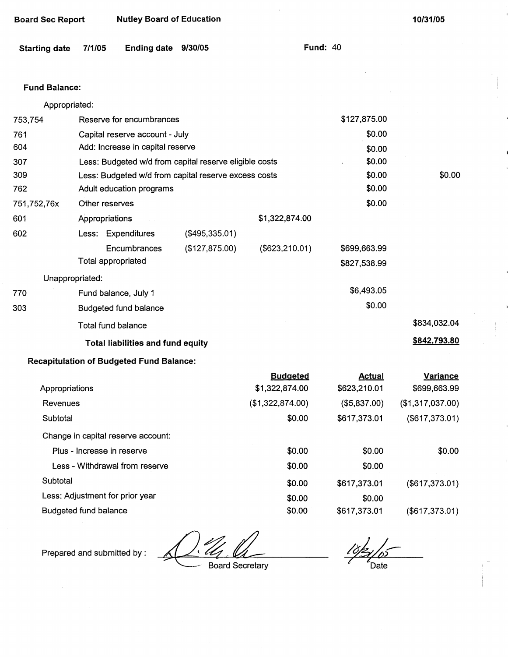| <b>Board Sec Report</b> | <b>Nutley Board of Education</b> |
|-------------------------|----------------------------------|
|-------------------------|----------------------------------|

| Starting date 7/1/05 | Ending date 9/30/05 | <b>Fund: 40</b> |
|----------------------|---------------------|-----------------|
|                      |                     |                 |

### Fund **Balance:**

|               | <b>Total liabilities and fund equity</b>               |                |                 |              | \$842,793.80 |
|---------------|--------------------------------------------------------|----------------|-----------------|--------------|--------------|
|               | Total fund balance                                     |                |                 |              | \$834,032.04 |
| 303           | <b>Budgeted fund balance</b>                           |                |                 | \$0.00       |              |
| 770           | Fund balance, July 1                                   |                |                 | \$6,493.05   |              |
|               | Unappropriated:                                        |                |                 |              |              |
|               | Total appropriated                                     |                |                 | \$827,538.99 |              |
|               | Encumbrances                                           | (\$127,875.00) | (\$623, 210.01) | \$699,663.99 |              |
| 602           | Less: Expenditures                                     | (\$495,335.01) |                 |              |              |
| 601           | Appropriations                                         |                | \$1,322,874.00  |              |              |
| 751,752,76x   | Other reserves                                         |                |                 | \$0.00       |              |
| 762           | Adult education programs                               |                |                 | \$0.00       |              |
| 309           | Less: Budgeted w/d from capital reserve excess costs   |                |                 | \$0.00       | \$0.00       |
| 307           | Less: Budgeted w/d from capital reserve eligible costs |                |                 | \$0.00       |              |
| 604           | Add: Increase in capital reserve                       |                |                 | \$0.00       |              |
| 761           | Capital reserve account - July                         |                |                 | \$0.00       |              |
| 753,754       | Reserve for encumbrances                               |                |                 | \$127,875.00 |              |
| Appropriated: |                                                        |                |                 |              |              |

### **Recapitulation of Budgeted Fund Balance:**

|                                    | <b>Budgeted</b>  | Actual       | <b>Variance</b>  |
|------------------------------------|------------------|--------------|------------------|
| Appropriations                     | \$1,322,874.00   | \$623,210.01 | \$699,663.99     |
| Revenues                           | (\$1,322,874.00) | (\$5,837.00) | (\$1,317,037.00) |
| Subtotal                           | \$0.00           | \$617,373.01 | (\$617,373.01)   |
| Change in capital reserve account: |                  |              |                  |
| Plus - Increase in reserve         | \$0.00           | \$0.00       | \$0.00           |
| Less - Withdrawal from reserve     | \$0.00           | \$0.00       |                  |
| Subtotal                           | \$0.00           | \$617,373.01 | (\$617,373.01)   |
| Less: Adjustment for prior year    | \$0.00           | \$0.00       |                  |
| Budgeted fund balance              | \$0.00           | \$617,373.01 | (\$617,373.01)   |

Prepared and submitted by :

 $\frac{7}{4}$ 

· Board Secretary

Date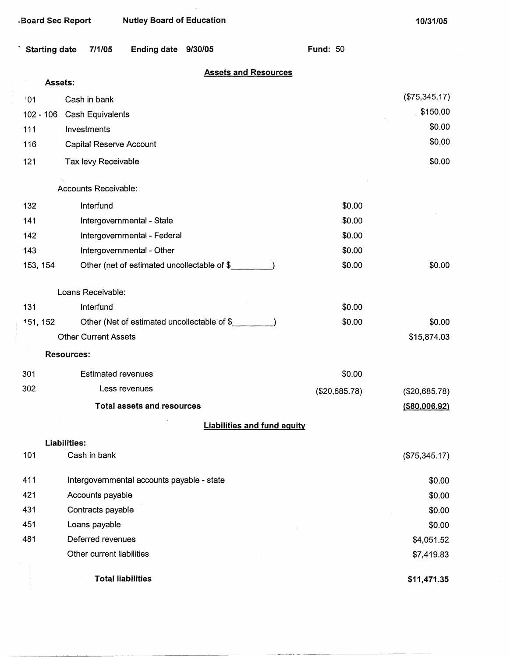| Starting date 7/1/05 | Ending date 9/30/05 | <b>Fund: 50</b> |  |
|----------------------|---------------------|-----------------|--|

# **Assets and Resources**

|                 | Assets:           |                                             |               |                  |
|-----------------|-------------------|---------------------------------------------|---------------|------------------|
| $\overline{01}$ |                   | Cash in bank                                |               | (\$75,345.17)    |
| 102 - 106       |                   | Cash Equivalents                            |               | 5150.00          |
| 111             |                   | Investments                                 |               | \$0.00           |
| 116             |                   | Capital Reserve Account                     |               | \$0.00           |
| 121             |                   | Tax levy Receivable                         |               | \$0.00           |
|                 |                   | Accounts Receivable:                        |               |                  |
| 132             |                   | Interfund                                   | \$0.00        |                  |
| 141             |                   | Intergovernmental - State                   | \$0.00        |                  |
| 142             |                   | Intergovernmental - Federal                 | \$0.00        |                  |
| 143             |                   | Intergovernmental - Other                   | \$0.00        |                  |
| 153, 154        |                   | Other (net of estimated uncollectable of \$ | \$0.00        | \$0.00           |
|                 |                   | Loans Receivable:                           |               |                  |
| 131             |                   | Interfund                                   | \$0.00        |                  |
| 151, 152        |                   | Other (Net of estimated uncollectable of \$ | \$0.00        | \$0.00           |
|                 |                   | <b>Other Current Assets</b>                 |               | \$15,874.03      |
|                 | <b>Resources:</b> |                                             |               |                  |
| 301             |                   | <b>Estimated revenues</b>                   | \$0.00        |                  |
| 302             |                   | Less revenues                               | (\$20,685.78) | (\$20,685.78)    |
|                 |                   | <b>Total assets and resources</b>           |               | $($ \$80,006.92) |
|                 |                   | <b>Liabilities and fund equity</b>          |               |                  |
|                 | Liabilities:      |                                             |               |                  |
| 101             |                   | Cash in bank                                |               | (\$75,345.17)    |
| 411             |                   | Intergovernmental accounts payable - state  |               | \$0.00           |
| 421             |                   | Accounts payable                            |               | \$0.00           |
| 431             |                   | Contracts payable                           |               | \$0.00           |
| 451             |                   | Loans payable                               |               | \$0.00           |
| 481             |                   | Deferred revenues                           |               | \$4,051.52       |
|                 |                   | Other current liabilities                   |               | \$7,419.83       |
|                 |                   | <b>Total liabilities</b>                    |               | \$11,471.35      |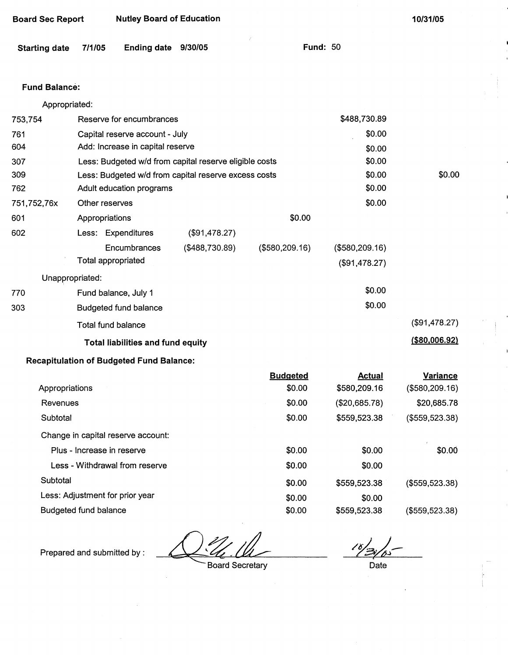| <b>Starting date</b> | <b>Ending date</b><br>7/1/05                           | 9/30/05        | <b>Fund: 50</b> |                |                  |
|----------------------|--------------------------------------------------------|----------------|-----------------|----------------|------------------|
| <b>Fund Balance:</b> |                                                        |                |                 |                |                  |
| Appropriated:        |                                                        |                |                 |                |                  |
| 753,754              | Reserve for encumbrances                               |                |                 | \$488,730.89   |                  |
| 761                  | Capital reserve account - July                         |                |                 | \$0.00         |                  |
| 604                  | Add: Increase in capital reserve                       |                |                 | \$0.00         |                  |
| 307                  | Less: Budgeted w/d from capital reserve eligible costs |                |                 | \$0.00         |                  |
| 309                  | Less: Budgeted w/d from capital reserve excess costs   |                |                 | \$0.00         | \$0.00           |
| 762                  | Adult education programs                               |                |                 | \$0.00         |                  |
| 751,752,76x          | Other reserves                                         |                |                 | \$0.00         |                  |
| 601                  | Appropriations                                         |                | \$0.00          |                |                  |
| 602                  | Less: Expenditures                                     | (\$91,478.27)  |                 |                |                  |
|                      | Encumbrances                                           | (\$488,730.89) | (\$580,209.16)  | (\$580,209.16) |                  |
|                      | Total appropriated                                     |                |                 | (\$91,478.27)  |                  |
| Unappropriated:      |                                                        |                |                 |                |                  |
| 770                  | Fund balance, July 1                                   |                |                 | \$0.00         |                  |
| 303                  | Budgeted fund balance                                  |                |                 | \$0.00         |                  |
|                      | <b>Total fund balance</b>                              |                |                 |                | (\$91,478.27)    |
|                      | <b>Total liabilities and fund equity</b>               |                |                 |                | $($ \$80,006.92) |
|                      | <b>Recapitulation of Budgeted Fund Balance:</b>        |                |                 |                |                  |
|                      |                                                        |                | <b>Budgeted</b> | <b>Actual</b>  | <b>Variance</b>  |
| Appropriations       |                                                        |                | \$0.00          | \$580,209.16   | (\$580, 209.16)  |
| Revenues             |                                                        |                | \$0.00          | (\$20,685.78)  | \$20,685.78      |
| Subtotal             |                                                        |                | \$0.00          | \$559,523.38   | (\$559,523.38)   |
|                      | Change in capital reserve account:                     |                |                 |                |                  |
|                      | Plus - Increase in reserve                             |                | \$0.00          | \$0.00         | \$0.00           |
|                      | Less - Withdrawal from reserve                         |                | \$0.00          | \$0.00         |                  |
| Subtotal             |                                                        |                | \$0.00          | \$559,523.38   | (\$559,523.38)   |
|                      | Less: Adjustment for prior year                        |                | \$0.00          | \$0.00         |                  |
|                      | Budgeted fund balance                                  |                | \$0.00          | \$559,523.38   | (\$559,523.38)   |
|                      |                                                        |                |                 |                |                  |

Prepared and submitted by :

Board Sec Report Nutley Board of Education

<u>'U</u>

 $\bar{\alpha}$ 

Board Secretary

 $16/3/$ 

**10/31/05** 

Date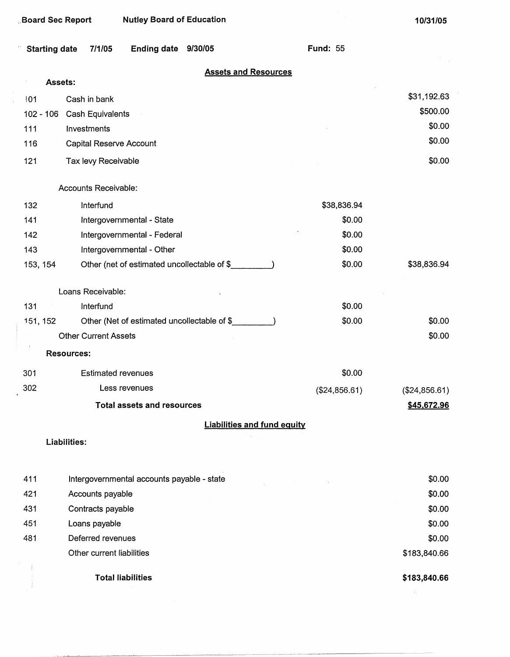| <b>Board Sec Report</b> | <b>Nutley Board of Education</b>             |                                    | 10/31/05      |
|-------------------------|----------------------------------------------|------------------------------------|---------------|
| <b>Starting date</b>    | 7/1/05<br><b>Ending date</b><br>9/30/05      | <b>Fund: 55</b>                    |               |
|                         |                                              | <b>Assets and Resources</b>        |               |
| Assets:                 |                                              |                                    |               |
| 101                     | Cash in bank                                 |                                    | \$31,192.63   |
| $102 - 106$             | Cash Equivalents                             |                                    | \$500.00      |
| 111                     | Investments                                  |                                    | \$0.00        |
| 116                     | <b>Capital Reserve Account</b>               |                                    | \$0.00        |
| 121                     | Tax levy Receivable                          |                                    | \$0.00        |
|                         | Accounts Receivable:                         |                                    |               |
| 132                     | Interfund                                    | \$38,836.94                        |               |
| 141                     | Intergovernmental - State                    | \$0.00                             |               |
| 142                     | Intergovernmental - Federal                  | \$0.00                             |               |
| 143                     | Intergovernmental - Other                    | \$0.00                             |               |
| 153, 154                | Other (net of estimated uncollectable of \$_ | \$0.00                             | \$38,836.94   |
|                         | Loans Receivable:                            |                                    |               |
| 131                     | Interfund                                    | \$0.00                             |               |
| 151, 152                | Other (Net of estimated uncollectable of \$  | \$0.00                             | \$0.00        |
|                         | <b>Other Current Assets</b>                  |                                    | \$0.00        |
|                         | <b>Resources:</b>                            |                                    |               |
| 301                     | <b>Estimated revenues</b>                    | \$0.00                             |               |
| 302                     | Less revenues                                | (\$24,856.61)                      | (\$24,856.61) |
|                         | <b>Total assets and resources</b>            |                                    | \$45,672.96   |
|                         |                                              | <b>Liabilities and fund equity</b> |               |
|                         | Liabilities:                                 |                                    |               |
| 411                     | Intergovernmental accounts payable - state   |                                    | \$0.00        |
| 421                     | Accounts payable                             |                                    | \$0.00        |
| 431                     | Contracts payable                            |                                    | \$0.00        |
| 451                     | Loans payable                                |                                    | \$0.00        |
| 481                     | Deferred revenues                            |                                    | \$0.00        |
|                         | Other current liabilities                    |                                    | \$183,840.66  |
|                         | <b>Total liabilities</b>                     |                                    | \$183,840.66  |